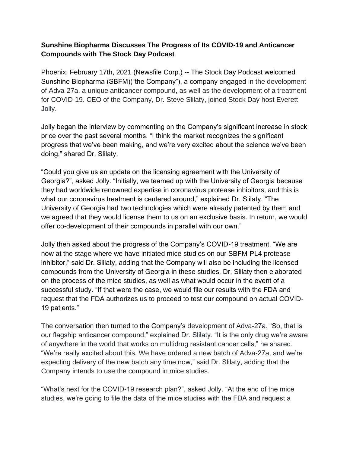## **Compounds with The Stock Day Podcast Sunshine Biopharma Discusses The Progress of Its COVID-19 and Anticancer**

Jolly. for COVID-19. CEO of the Company, Dr. Steve Slilaty, joined Stock Day host Everett of Adva-27a, a unique anticancer compound, as well as the development of a treatment Sunshine Biopharma (SBFM)("the Company"), a company engaged in the development Phoenix, February 17th, 2021 (Newsfile Corp.) -- The Stock Day Podcast welcomed

doing," shared Dr. Slilaty. progress that we've been making, and we're very excited about the science we've been price over the past several months. "I think the market recognizes the significant Jolly began the interview by commenting on the Company's significant increase in stock

offer co-development of their compounds in parallel with our own." we agreed that they would license them to us on an exclusive basis. In return, we would University of Georgia had two technologies which were already patented by them and what our coronavirus treatment is centered around," explained Dr. Slilaty. "The they had worldwide renowned expertise in coronavirus protease inhibitors, and this is Georgia?", asked Jolly. "Initially, we teamed up with the University of Georgia because "Could you give us an update on the licensing agreement with the University of

19 patients." request that the FDA authorizes us to proceed to test our compound on actual COVIDsuccessful study. "If that were the case, we would file our results with the FDA and on the process of the mice studies, as well as what would occur in the event of a compounds from the University of Georgia in these studies. Dr. Slilaty then elaborated inhibitor," said Dr. Slilaty, adding that the Company will also be including the licensed now at the stage where we have initiated mice studies on our SBFM-PL4 protease Jolly then asked about the progress of the Company's COVID-19 treatment. "We are

Company intends to use the compound in mice studies. expecting delivery of the new batch any time now," said Dr. Slilaty, adding that the "We're really excited about this. We have ordered a new batch of Adva-27a, and we're of anywhere in the world that works on multidrug resistant cancer cells," he shared. our flagship anticancer compound," explained Dr. Slilaty. "It is the only drug we're aware The conversation then turned to the Company's development of Adva-27a. "So, that is

studies, we're going to file the data of the mice studies with the FDA and request a "What's next for the COVID-19 research plan?", asked Jolly. "At the end of the mice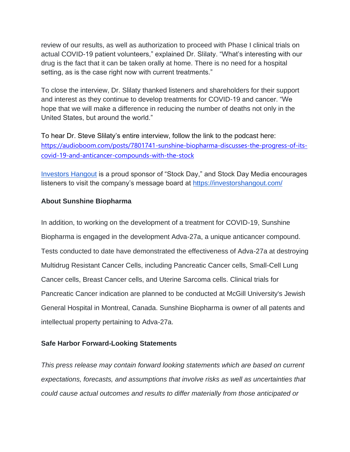review of our results, as well as authorization to proceed with Phase I clinical trials on actual COVID-19 patient volunteers," explained Dr. Slilaty. "What's interesting with our drug is the fact that it can be taken orally at home. There is no need for a hospital setting, as is the case right now with current treatments."

To close the interview, Dr. Slilaty thanked listeners and shareholders for their support and interest as they continue to develop treatments for COVID-19 and cancer. "We hope that we will make a difference in reducing the number of deaths not only in the United States, but around the world."

To hear Dr. Steve Slilaty's entire interview, follow the link to the podcast here: [https://audioboom.com/posts/7801741-sunshine-biopharma-discusses-the-progress-of-its](https://audioboom.com/posts/7801741-sunshine-biopharma-discusses-the-progress-of-its-covid-19-and-anticancer-compounds-with-the-stock)[covid-19-and-anticancer-compounds-with-the-stock](https://audioboom.com/posts/7801741-sunshine-biopharma-discusses-the-progress-of-its-covid-19-and-anticancer-compounds-with-the-stock)

[Investors Hangout](https://investorshangout.com/) is a proud sponsor of "Stock Day," and Stock Day Media encourages listeners to visit the company's message board at<https://investorshangout.com/>

### **About Sunshine Biopharma**

In addition, to working on the development of a treatment for COVID-19, Sunshine Biopharma is engaged in the development Adva-27a, a unique anticancer compound. Tests conducted to date have demonstrated the effectiveness of Adva-27a at destroying Multidrug Resistant Cancer Cells, including Pancreatic Cancer cells, Small-Cell Lung Cancer cells, Breast Cancer cells, and Uterine Sarcoma cells. Clinical trials for Pancreatic Cancer indication are planned to be conducted at McGill University's Jewish General Hospital in Montreal, Canada. Sunshine Biopharma is owner of all patents and intellectual property pertaining to Adva-27a.

#### **Safe Harbor Forward-Looking Statements**

*This press release may contain forward looking statements which are based on current expectations, forecasts, and assumptions that involve risks as well as uncertainties that could cause actual outcomes and results to differ materially from those anticipated or*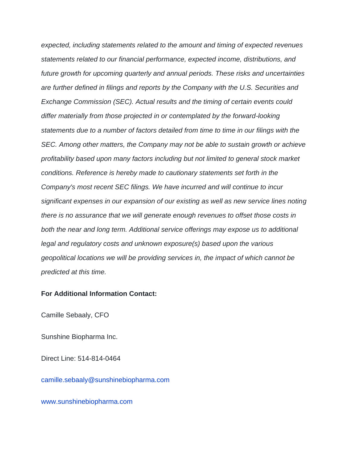*expected, including statements related to the amount and timing of expected revenues statements related to our financial performance, expected income, distributions, and future growth for upcoming quarterly and annual periods. These risks and uncertainties are further defined in filings and reports by the Company with the U.S. Securities and Exchange Commission (SEC). Actual results and the timing of certain events could differ materially from those projected in or contemplated by the forward-looking statements due to a number of factors detailed from time to time in our filings with the SEC. Among other matters, the Company may not be able to sustain growth or achieve profitability based upon many factors including but not limited to general stock market conditions. Reference is hereby made to cautionary statements set forth in the Company's most recent SEC filings. We have incurred and will continue to incur significant expenses in our expansion of our existing as well as new service lines noting there is no assurance that we will generate enough revenues to offset those costs in both the near and long term. Additional service offerings may expose us to additional legal and regulatory costs and unknown exposure(s) based upon the various geopolitical locations we will be providing services in, the impact of which cannot be predicted at this time.*

#### **For Additional Information Contact:**

Camille Sebaaly, CFO

Sunshine Biopharma Inc.

Direct Line: 514-814-0464

camille.sebaaly@sunshinebiopharma.com

[www.sunshinebiopharma.com](https://pr.report/tpASTHBi)